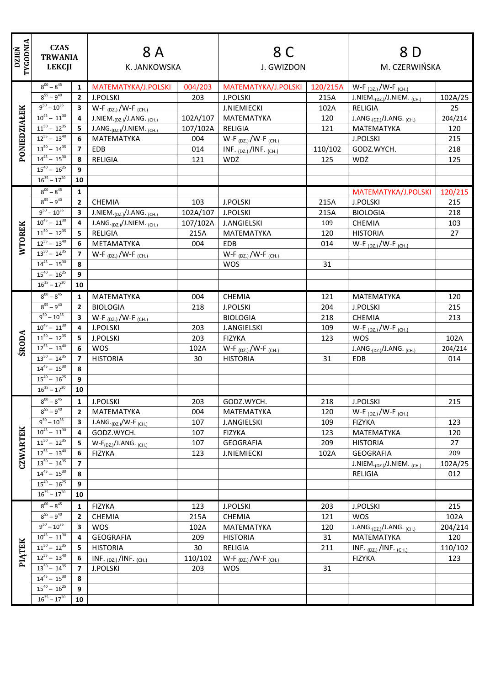| <b>TYGODNIA</b><br><b>DZIEŃ</b> | <b>CZAS</b><br><b>TRWANIA</b><br><b>LEKCJI</b> |                         | 8 A<br>K. JANKOWSKA                               |          | 8 C<br>J. GWIZDON              |          | 8 D<br>M. CZERWIŃSKA                     |         |
|---------------------------------|------------------------------------------------|-------------------------|---------------------------------------------------|----------|--------------------------------|----------|------------------------------------------|---------|
|                                 |                                                |                         |                                                   |          |                                |          |                                          |         |
|                                 | $8^{00} - 8^{45}$                              | $\mathbf{1}$            | MATEMATYKA/J.POLSKI                               | 004/203  | MATEMATYKA/J.POLSKI            | 120/215A | W-F $_{(DZ.)}$ /W-F $_{(CH.)}$           |         |
|                                 | $8^{55} - 9^{40}$                              | $2^{\circ}$             | <b>J.POLSKI</b>                                   | 203      | <b>J.POLSKI</b>                | 215A     | J.NIEM. $_{(DZ_i)}/$ J.NIEM. $_{(CH_i)}$ | 102A/25 |
|                                 | $9^{50} - 10^{35}$                             | $3^{\circ}$             | W-F $_{(DZ.)}$ /W-F $_{(CH.)}$                    |          | <b>J.NIEMIECKI</b>             | 102A     | RELIGIA                                  | 25      |
| PONIEDZIAŁEK                    | $10^{45} - 11^{30}$                            | 4                       | J.NIEM. <sub>(DZ.)</sub> /J.ANG. <sub>(CH.)</sub> | 102A/107 | MATEMATYKA                     | 120      | J.ANG. $_{(DZ.)}$ /J.ANG. $_{(CH.)}$     | 204/214 |
|                                 | $11^{50} - 12^{35}$                            | 5                       | J.ANG. $_{(DZ.)}/J.NIEM.$ (CH.)                   | 107/102A | <b>RELIGIA</b>                 | 121      | MATEMATYKA                               | 120     |
|                                 | $12^{55} - 13^{40}$                            | 6                       | MATEMATYKA                                        | 004      | $W-F_{(DZ.)}/W-F_{(CH.)}$      |          | <b>J.POLSKI</b>                          | 215     |
|                                 | $13^{50} - 14^{35}$                            | $\overline{7}$          | EDB                                               | 014      | INF. $(DZ)$ /INF. $(CH.)$      | 110/102  | GODZ.WYCH.                               | 218     |
|                                 | $14^{45} - 15^{30}$                            | 8                       | <b>RELIGIA</b>                                    | 121      | WDŻ                            | 125      | WDŻ                                      | 125     |
|                                 | $15^{40} - 16^{25}$                            | 9                       |                                                   |          |                                |          |                                          |         |
|                                 | $16^{35} - 17^{20}$                            | 10                      |                                                   |          |                                |          |                                          |         |
|                                 | $8^{00} - 8^{45}$                              | $\mathbf{1}$            |                                                   |          |                                |          | MATEMATYKA/J.POLSKI                      | 120/215 |
|                                 | $8^{55} - 9^{40}$                              | $\mathbf{2}$            | <b>CHEMIA</b>                                     | 103      | <b>J.POLSKI</b>                | 215A     | <b>J.POLSKI</b>                          | 215     |
|                                 | $9^{50} - 10^{35}$                             | 3                       | J.NIEM. <sub>(DZ.)</sub> /J.ANG. <sub>(CH.)</sub> | 102A/107 | <b>J.POLSKI</b>                | 215A     | <b>BIOLOGIA</b>                          | 218     |
|                                 | $10^{45} - 11^{30}$                            | $\overline{4}$          | $J.ANG._{(DZ.)} / J.NIEM._{(CH.)}$                | 107/102A | <b>J.ANGIELSKI</b>             | 109      | <b>CHEMIA</b>                            | 103     |
| <b>WTOREK</b>                   | $11^{50} - 12^{35}$                            | 5                       | RELIGIA                                           | 215A     | MATEMATYKA                     | 120      | <b>HISTORIA</b>                          | 27      |
|                                 | $12^{55} - 13^{40}$                            | 6                       | METAMATYKA                                        | 004      | EDB                            | 014      | W-F $_{(DZ.)}$ /W-F $_{(CH.)}$           |         |
|                                 | $13^{50} - 14^{35}$                            | $\overline{7}$          | W-F $_{(DZ.)}$ /W-F $_{(CH.)}$                    |          | $W-F_{(DZ.)}/W-F_{(CH.)}$      |          |                                          |         |
|                                 | $14^{45} - 15^{30}$                            | 8                       |                                                   |          | <b>WOS</b>                     | 31       |                                          |         |
|                                 | $15^{40} - 16^{25}$                            | 9                       |                                                   |          |                                |          |                                          |         |
|                                 | $16^{35} - 17^{20}$                            | 10                      |                                                   |          |                                |          |                                          |         |
|                                 | $8^{00} - 8^{45}$                              | $\mathbf{1}$            | MATEMATYKA                                        | 004      | CHEMIA                         | 121      | MATEMATYKA                               | 120     |
|                                 | $8^{55} - 9^{40}$                              | $\overline{2}$          | <b>BIOLOGIA</b>                                   | 218      | <b>J.POLSKI</b>                | 204      | <b>J.POLSKI</b>                          | 215     |
|                                 | $9^{50} - 10^{35}$                             | $\overline{\mathbf{3}}$ | $W-F_{(DZ.)}/W-F_{(CH.)}$                         |          | <b>BIOLOGIA</b>                | 218      | CHEMIA                                   | 213     |
|                                 | $10^{45} - 11^{30}$                            | 4                       | <b>J.POLSKI</b>                                   | 203      | <b>J.ANGIELSKI</b>             | 109      | W-F $_{(DZ.)}$ /W-F $_{(CH.)}$           |         |
|                                 | $11^{50} - 12^{35}$                            | 5                       | <b>J.POLSKI</b>                                   | 203      | <b>FIZYKA</b>                  | 123      | <b>WOS</b>                               | 102A    |
| <b>ŚRODA</b>                    | $12^{55} - 13^{40}$                            | 6                       | <b>WOS</b>                                        | 102A     | $W-F_{(DZ.)}/W-F_{(CH.)}$      |          | J.ANG. $_{(DZ.)}$ /J.ANG. $_{(CH.)}$     | 204/214 |
|                                 | $13^{50} - 14^{35}$                            | $\overline{7}$          | <b>HISTORIA</b>                                   | 30       | <b>HISTORIA</b>                | 31       | <b>EDB</b>                               | 014     |
|                                 | $14^{45} - 15^{30}$                            | 8                       |                                                   |          |                                |          |                                          |         |
|                                 | $15^{40} - 16^{25}$                            | 9                       |                                                   |          |                                |          |                                          |         |
|                                 | $16^{35} - 17^{20}$                            | 10                      |                                                   |          |                                |          |                                          |         |
|                                 | $8^{00} - 8^{45}$                              | 1                       | J.POLSKI                                          | 203      | GODZ.WYCH.                     | 218      | J.POLSKI                                 | 215     |
|                                 | $8^{55} - 9^{40}$                              | $\mathbf{2}$            | MATEMATYKA                                        | 004      | MATEMATYKA                     | 120      | $W-F_{(DZ_i)}/W-F_{(CH_i)}$              |         |
|                                 | $9^{50} - 10^{35}$                             | 3 <sup>1</sup>          | J.ANG. $_{(DZ.)}$ /W-F $_{(CH.)}$                 | 107      | <b>J.ANGIELSKI</b>             | 109      | <b>FIZYKA</b>                            | 123     |
|                                 | $10^{45} - 11^{30}$                            | $\overline{4}$          | GODZ.WYCH.                                        | 107      | <b>FIZYKA</b>                  | 123      | MATEMATYKA                               | 120     |
| <b>CZWARTEK</b>                 | $11^{50} - 12^{35}$                            | 5                       | $W-F_{(DZ.)}/J.ANG.$ (CH.)                        | 107      | <b>GEOGRAFIA</b>               | 209      | <b>HISTORIA</b>                          | 27      |
|                                 | $12^{55} - 13^{40}$                            | 6                       | <b>FIZYKA</b>                                     | 123      | <b>J.NIEMIECKI</b>             | 102A     | <b>GEOGRAFIA</b>                         | 209     |
|                                 | $13^{50} - 14^{35}$                            | $\overline{7}$          |                                                   |          |                                |          | J.NIEM. $_{(DZ_i)}/$ J.NIEM. $_{(CH_i)}$ | 102A/25 |
|                                 | $14^{45} - 15^{30}$                            | 8                       |                                                   |          |                                |          | RELIGIA                                  | 012     |
|                                 | $15^{40} - 16^{25}$                            | 9                       |                                                   |          |                                |          |                                          |         |
|                                 | $16^{35} - 17^{20}$                            | 10                      |                                                   |          |                                |          |                                          |         |
|                                 | $8^{00} - 8^{45}$                              | $\mathbf{1}$            | <b>FIZYKA</b>                                     | 123      | <b>J.POLSKI</b>                | 203      | <b>J.POLSKI</b>                          | 215     |
|                                 | $8^{55} - 9^{40}$                              | $\mathbf{2}$            | CHEMIA                                            | 215A     | CHEMIA                         | 121      | <b>WOS</b>                               | 102A    |
|                                 | $9^{50} - 10^{35}$                             | $\overline{\mathbf{3}}$ | <b>WOS</b>                                        | 102A     | MATEMATYKA                     | 120      | J.ANG. $_{(DZ.)}$ /J.ANG. $_{(CH.)}$     | 204/214 |
| PIĄTEK                          | $10^{45} - 11^{30}$                            | 4                       | <b>GEOGRAFIA</b>                                  | 209      | <b>HISTORIA</b>                | 31       | MATEMATYKA                               | 120     |
|                                 | $11^{50} - 12^{35}$                            | 5.                      | <b>HISTORIA</b>                                   | 30       | RELIGIA                        | 211      | INF. $(DZ)$ /INF. $(CH.)$                | 110/102 |
|                                 | $12^{55} - 13^{40}$                            | 6                       | INF. $(DZ)$ /INF. $(CH.)$                         | 110/102  | W-F $_{(DZ.)}$ /W-F $_{(CH.)}$ |          | <b>FIZYKA</b>                            | 123     |
|                                 | $13^{50} - 14^{35}$                            | $\overline{7}$          | <b>J.POLSKI</b>                                   | 203      | <b>WOS</b>                     | 31       |                                          |         |
|                                 | $14^{45} - 15^{30}$                            | 8                       |                                                   |          |                                |          |                                          |         |
|                                 | $15^{40} - 16^{25}$                            | 9                       |                                                   |          |                                |          |                                          |         |
|                                 | $16^{35} - 17^{20}$                            | 10                      |                                                   |          |                                |          |                                          |         |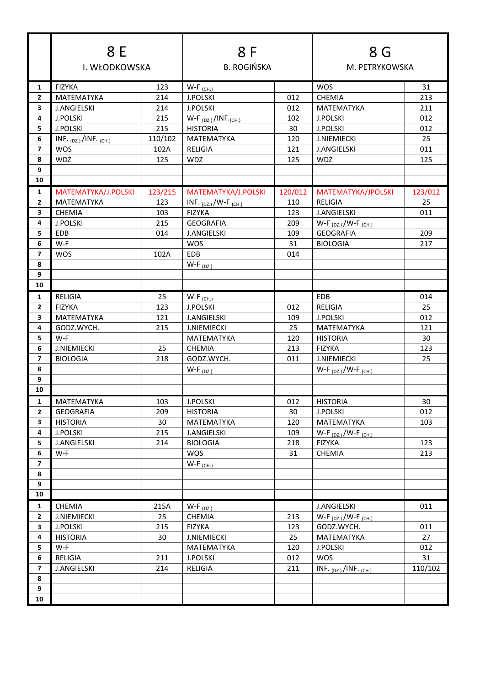|                         | 8 E                         |         | 8 F                             |                    | 8 G                            |                |  |
|-------------------------|-----------------------------|---------|---------------------------------|--------------------|--------------------------------|----------------|--|
|                         | I. WŁODKOWSKA               |         |                                 | <b>B. ROGIŃSKA</b> |                                | M. PETRYKOWSKA |  |
| $\mathbf{1}$            | <b>FIZYKA</b>               | 123     | $W-F$ <sub>(CH.)</sub>          |                    | <b>WOS</b>                     | 31             |  |
| $\mathbf{2}$            | MATEMATYKA                  | 214     | <b>J.POLSKI</b>                 | 012                | <b>CHEMIA</b>                  | 213            |  |
| 3                       | <b>J.ANGIELSKI</b>          | 214     | <b>J.POLSKI</b>                 | 012                | MATEMATYKA                     | 211            |  |
| 4                       | <b>J.POLSKI</b>             | 215     | $W-F_{(DZ)}/INF_{(CH.)}$        | 102                | <b>J.POLSKI</b>                | 012            |  |
| 5.                      | <b>J.POLSKI</b>             | 215     | <b>HISTORIA</b>                 | 30                 | <b>J.POLSKI</b>                | 012            |  |
| 6                       | INF. $(DZ_1)/INF$ . $(CH.)$ | 110/102 | MATEMATYKA                      | 120                | <b>J.NIEMIECKI</b>             | 25             |  |
| $\overline{ }$          | <b>WOS</b>                  | 102A    | <b>RELIGIA</b>                  | 121                | <b>J.ANGIELSKI</b>             | 011            |  |
| 8                       | WDŻ                         | 125     | WDŻ                             | 125                | WDŻ                            | 125            |  |
| 9                       |                             |         |                                 |                    |                                |                |  |
| 10                      |                             |         |                                 |                    |                                |                |  |
| 1                       | MATEMATYKA/J.POLSKI         | 123/215 | MATEMATYKA/J.POLSKI             | 120/012            | MATEMATYKA/JPOLSKI             | 123/012        |  |
| $\mathbf{2}$            | MATEMATYKA                  | 123     | INF. $_{(DZ.)}$ /W-F $_{(CH.)}$ | 110                | <b>RELIGIA</b>                 | 25             |  |
| 3                       | CHEMIA                      | 103     | <b>FIZYKA</b>                   | 123                | <b>J.ANGIELSKI</b>             | 011            |  |
| 4                       | <b>J.POLSKI</b>             | 215     | <b>GEOGRAFIA</b>                | 209                | W-F $_{(DZ.)}$ /W-F $_{(CH.)}$ |                |  |
| 5.                      | EDB                         | 014     | <b>J.ANGIELSKI</b>              | 109                | <b>GEOGRAFIA</b>               | 209            |  |
| 6                       | W-F                         |         | <b>WOS</b>                      | 31                 | <b>BIOLOGIA</b>                | 217            |  |
| $\overline{ }$          | <b>WOS</b>                  | 102A    | EDB                             | 014                |                                |                |  |
| 8                       |                             |         | $W-F_{(DZ.)}$                   |                    |                                |                |  |
| 9                       |                             |         |                                 |                    |                                |                |  |
| 10                      |                             |         |                                 |                    |                                |                |  |
| 1                       | <b>RELIGIA</b>              | 25      | $W-F$ <sub>(CH.)</sub>          |                    | EDB                            | 014            |  |
| $\mathbf{2}$            | <b>FIZYKA</b>               | 123     | <b>J.POLSKI</b>                 | 012                | <b>RELIGIA</b>                 | 25             |  |
| 3                       | <b>MATEMATYKA</b>           | 121     | <b>J.ANGIELSKI</b>              | 109                | <b>J.POLSKI</b>                | 012            |  |
| 4                       | GODZ.WYCH.                  | 215     | <b>J.NIEMIECKI</b>              | 25                 | MATEMATYKA                     | 121            |  |
| 5                       | W-F                         |         | MATEMATYKA                      | 120                | <b>HISTORIA</b>                | 30             |  |
| 6                       | <b>J.NIEMIECKI</b>          | 25      | <b>CHEMIA</b>                   | 213                | <b>FIZYKA</b>                  | 123            |  |
| $\overline{7}$          | <b>BIOLOGIA</b>             | 218     | GODZ.WYCH.                      | 011                | <b>J.NIEMIECKI</b>             | 25             |  |
| 8                       |                             |         | $W-F_{(DZ.)}$                   |                    | $W-F_{(DZ.)}/W-F_{(CH.)}$      |                |  |
| 9                       |                             |         |                                 |                    |                                |                |  |
| 10                      |                             |         |                                 |                    |                                |                |  |
| 1                       | MATEMATYKA                  | 103     | <b>J.POLSKI</b>                 | 012                | <b>HISTORIA</b>                | 30             |  |
| $\mathbf{2}$            | <b>GEOGRAFIA</b>            | 209     | <b>HISTORIA</b>                 | 30                 | <b>J.POLSKI</b>                | 012            |  |
| 3                       | <b>HISTORIA</b>             | 30      | MATEMATYKA                      | 120                | MATEMATYKA                     | 103            |  |
| 4                       | J.POLSKI                    | 215     | <b>J.ANGIELSKI</b>              | 109                | $W-F_{(DZ.)}/W-F_{(CH.)}$      |                |  |
| 5                       | <b>J.ANGIELSKI</b>          | 214     | <b>BIOLOGIA</b>                 | 218                | <b>FIZYKA</b>                  | 123            |  |
| $\bf 6$                 | W-F                         |         | <b>WOS</b>                      | 31                 | CHEMIA                         | 213            |  |
| $\overline{\mathbf{z}}$ |                             |         | $W-F$ <sub>(CH.)</sub>          |                    |                                |                |  |
| 8                       |                             |         |                                 |                    |                                |                |  |
| 9                       |                             |         |                                 |                    |                                |                |  |
| 10                      |                             |         |                                 |                    |                                |                |  |
| $\mathbf{1}$            | CHEMIA                      | 215A    | $W-F_{(DZ.)}$                   |                    | <b>J.ANGIELSKI</b>             | 011            |  |
| $\overline{2}$          | <b>J.NIEMIECKI</b>          | 25      | CHEMIA                          | 213                | $W-F_{(DZ.)}/W-F_{(CH.)}$      |                |  |
| 3                       | <b>J.POLSKI</b>             | 215     | <b>FIZYKA</b>                   | 123                | GODZ.WYCH.                     | 011            |  |
| 4                       | <b>HISTORIA</b>             | 30      | <b>J.NIEMIECKI</b>              | 25                 | MATEMATYKA                     | 27             |  |
| 5                       | W-F                         |         | MATEMATYKA                      | 120                | J.POLSKI                       | 012            |  |
| 6                       | <b>RELIGIA</b>              | 211     | <b>J.POLSKI</b>                 | 012                | <b>WOS</b>                     | 31             |  |
| $\overline{\mathbf{z}}$ | <b>J.ANGIELSKI</b>          | 214     | <b>RELIGIA</b>                  | 211                | INF. $(DZ)$ /INF. $(CH.)$      | 110/102        |  |
| 8                       |                             |         |                                 |                    |                                |                |  |
| 9                       |                             |         |                                 |                    |                                |                |  |
| 10                      |                             |         |                                 |                    |                                |                |  |